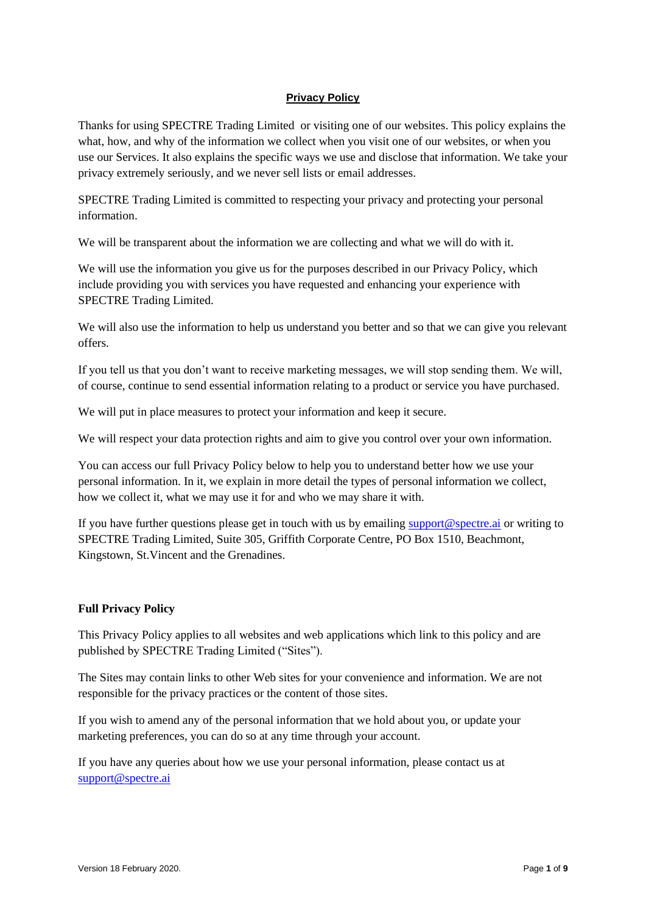# **Privacy Policy**

Thanks for using SPECTRE Trading Limited or visiting one of our websites. This policy explains the what, how, and why of the information we collect when you visit one of our websites, or when you use our Services. It also explains the specific ways we use and disclose that information. We take your privacy extremely seriously, and we never sell lists or email addresses.

SPECTRE Trading Limited is committed to respecting your privacy and protecting your personal information.

We will be transparent about the information we are collecting and what we will do with it.

We will use the information you give us for the purposes described in our Privacy Policy, which include providing you with services you have requested and enhancing your experience with SPECTRE Trading Limited.

We will also use the information to help us understand you better and so that we can give you relevant offers.

If you tell us that you don't want to receive marketing messages, we will stop sending them. We will, of course, continue to send essential information relating to a product or service you have purchased.

We will put in place measures to protect your information and keep it secure.

We will respect your data protection rights and aim to give you control over your own information.

You can access our full Privacy Policy below to help you to understand better how we use your personal information. In it, we explain in more detail the types of personal information we collect, how we collect it, what we may use it for and who we may share it with.

If you have further questions please get in touch with us by emailing [support@spectre.ai](mailto:support@spectre.ai) or writing to SPECTRE Trading Limited, Suite 305, Griffith Corporate Centre, PO Box 1510, Beachmont, Kingstown, St.Vincent and the Grenadines.

## **Full Privacy Policy**

This Privacy Policy applies to all websites and web applications which link to this policy and are published by SPECTRE Trading Limited ("Sites").

The Sites may contain links to other Web sites for your convenience and information. We are not responsible for the privacy practices or the content of those sites.

If you wish to amend any of the personal information that we hold about you, or update your marketing preferences, you can do so at any time through your account.

If you have any queries about how we use your personal information, please contact us at [support@spectre.ai](mailto:support@spectre.ai)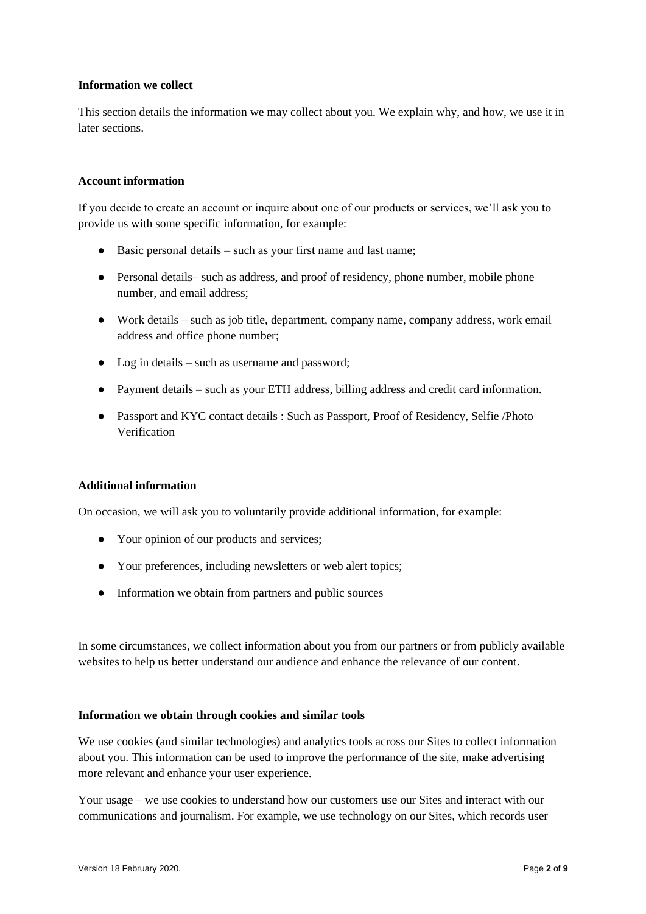## **Information we collect**

This section details the information we may collect about you. We explain why, and how, we use it in later sections.

#### **Account information**

If you decide to create an account or inquire about one of our products or services, we'll ask you to provide us with some specific information, for example:

- Basic personal details such as your first name and last name;
- Personal details– such as address, and proof of residency, phone number, mobile phone number, and email address;
- Work details such as job title, department, company name, company address, work email address and office phone number;
- Log in details such as username and password;
- Payment details such as your ETH address, billing address and credit card information.
- Passport and KYC contact details : Such as Passport, Proof of Residency, Selfie /Photo Verification

#### **Additional information**

On occasion, we will ask you to voluntarily provide additional information, for example:

- Your opinion of our products and services;
- Your preferences, including newsletters or web alert topics;
- Information we obtain from partners and public sources

In some circumstances, we collect information about you from our partners or from publicly available websites to help us better understand our audience and enhance the relevance of our content.

#### **Information we obtain through cookies and similar tools**

We use cookies (and similar technologies) and analytics tools across our Sites to collect information about you. This information can be used to improve the performance of the site, make advertising more relevant and enhance your user experience.

Your usage – we use cookies to understand how our customers use our Sites and interact with our communications and journalism. For example, we use technology on our Sites, which records user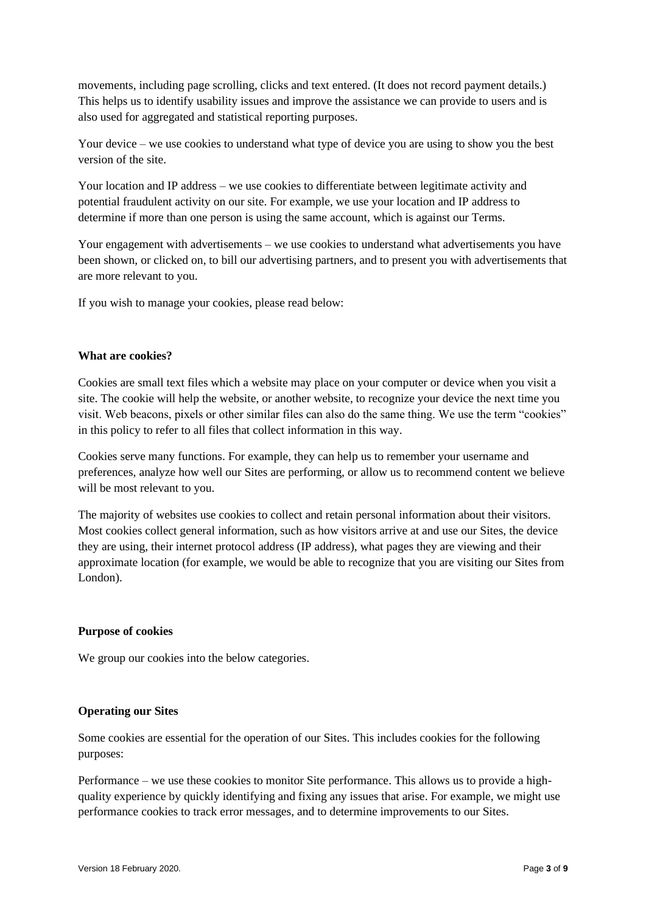movements, including page scrolling, clicks and text entered. (It does not record payment details.) This helps us to identify usability issues and improve the assistance we can provide to users and is also used for aggregated and statistical reporting purposes.

Your device – we use cookies to understand what type of device you are using to show you the best version of the site.

Your location and IP address – we use cookies to differentiate between legitimate activity and potential fraudulent activity on our site. For example, we use your location and IP address to determine if more than one person is using the same account, which is against our Terms.

Your engagement with advertisements – we use cookies to understand what advertisements you have been shown, or clicked on, to bill our advertising partners, and to present you with advertisements that are more relevant to you.

If you wish to manage your cookies, please read below:

#### **What are cookies?**

Cookies are small text files which a website may place on your computer or device when you visit a site. The cookie will help the website, or another website, to recognize your device the next time you visit. Web beacons, pixels or other similar files can also do the same thing. We use the term "cookies" in this policy to refer to all files that collect information in this way.

Cookies serve many functions. For example, they can help us to remember your username and preferences, analyze how well our Sites are performing, or allow us to recommend content we believe will be most relevant to you.

The majority of websites use cookies to collect and retain personal information about their visitors. Most cookies collect general information, such as how visitors arrive at and use our Sites, the device they are using, their internet protocol address (IP address), what pages they are viewing and their approximate location (for example, we would be able to recognize that you are visiting our Sites from London).

#### **Purpose of cookies**

We group our cookies into the below categories.

## **Operating our Sites**

Some cookies are essential for the operation of our Sites. This includes cookies for the following purposes:

Performance – we use these cookies to monitor Site performance. This allows us to provide a highquality experience by quickly identifying and fixing any issues that arise. For example, we might use performance cookies to track error messages, and to determine improvements to our Sites.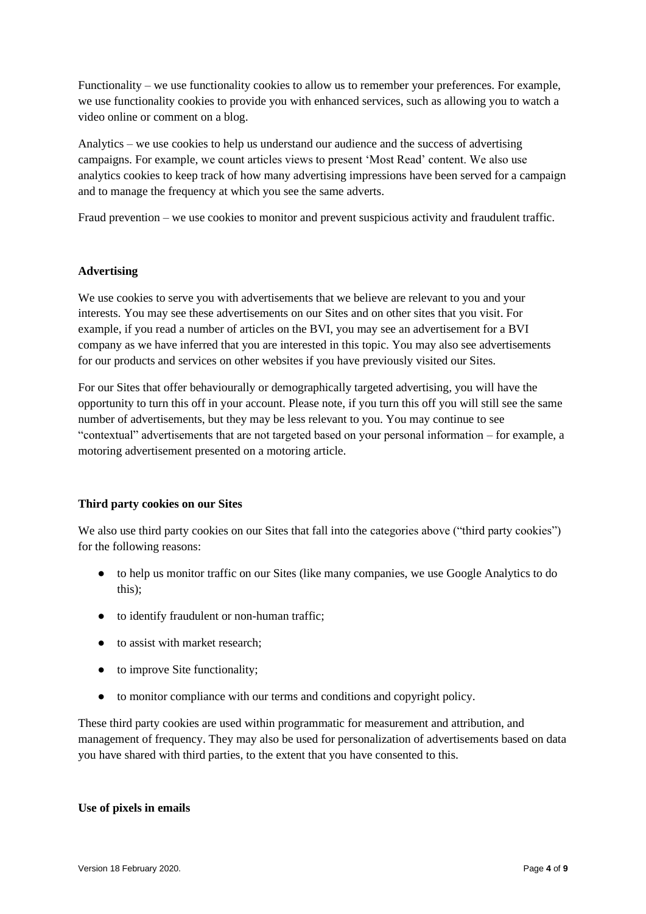Functionality – we use functionality cookies to allow us to remember your preferences. For example, we use functionality cookies to provide you with enhanced services, such as allowing you to watch a video online or comment on a blog.

Analytics – we use cookies to help us understand our audience and the success of advertising campaigns. For example, we count articles views to present 'Most Read' content. We also use analytics cookies to keep track of how many advertising impressions have been served for a campaign and to manage the frequency at which you see the same adverts.

Fraud prevention – we use cookies to monitor and prevent suspicious activity and fraudulent traffic.

## **Advertising**

We use cookies to serve you with advertisements that we believe are relevant to you and your interests. You may see these advertisements on our Sites and on other sites that you visit. For example, if you read a number of articles on the BVI, you may see an advertisement for a BVI company as we have inferred that you are interested in this topic. You may also see advertisements for our products and services on other websites if you have previously visited our Sites.

For our Sites that offer behaviourally or demographically targeted advertising, you will have the opportunity to turn this off in your account. Please note, if you turn this off you will still see the same number of advertisements, but they may be less relevant to you. You may continue to see "contextual" advertisements that are not targeted based on your personal information – for example, a motoring advertisement presented on a motoring article.

## **Third party cookies on our Sites**

We also use third party cookies on our Sites that fall into the categories above ("third party cookies") for the following reasons:

- to help us monitor traffic on our Sites (like many companies, we use Google Analytics to do this);
- to identify fraudulent or non-human traffic;
- to assist with market research:
- to improve Site functionality;
- to monitor compliance with our terms and conditions and copyright policy.

These third party cookies are used within programmatic for measurement and attribution, and management of frequency. They may also be used for personalization of advertisements based on data you have shared with third parties, to the extent that you have consented to this.

## **Use of pixels in emails**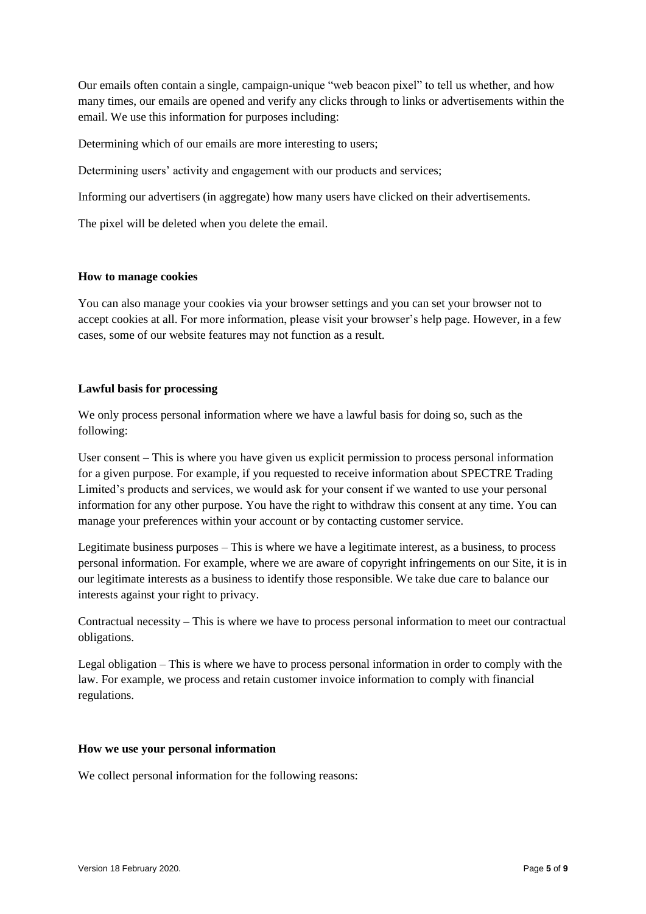Our emails often contain a single, campaign-unique "web beacon pixel" to tell us whether, and how many times, our emails are opened and verify any clicks through to links or advertisements within the email. We use this information for purposes including:

Determining which of our emails are more interesting to users;

Determining users' activity and engagement with our products and services;

Informing our advertisers (in aggregate) how many users have clicked on their advertisements.

The pixel will be deleted when you delete the email.

## **How to manage cookies**

You can also manage your cookies via your browser settings and you can set your browser not to accept cookies at all. For more information, please visit your browser's help page. However, in a few cases, some of our website features may not function as a result.

# **Lawful basis for processing**

We only process personal information where we have a lawful basis for doing so, such as the following:

User consent – This is where you have given us explicit permission to process personal information for a given purpose. For example, if you requested to receive information about SPECTRE Trading Limited's products and services, we would ask for your consent if we wanted to use your personal information for any other purpose. You have the right to withdraw this consent at any time. You can manage your preferences within your account or by contacting customer service.

Legitimate business purposes – This is where we have a legitimate interest, as a business, to process personal information. For example, where we are aware of copyright infringements on our Site, it is in our legitimate interests as a business to identify those responsible. We take due care to balance our interests against your right to privacy.

Contractual necessity – This is where we have to process personal information to meet our contractual obligations.

Legal obligation – This is where we have to process personal information in order to comply with the law. For example, we process and retain customer invoice information to comply with financial regulations.

## **How we use your personal information**

We collect personal information for the following reasons: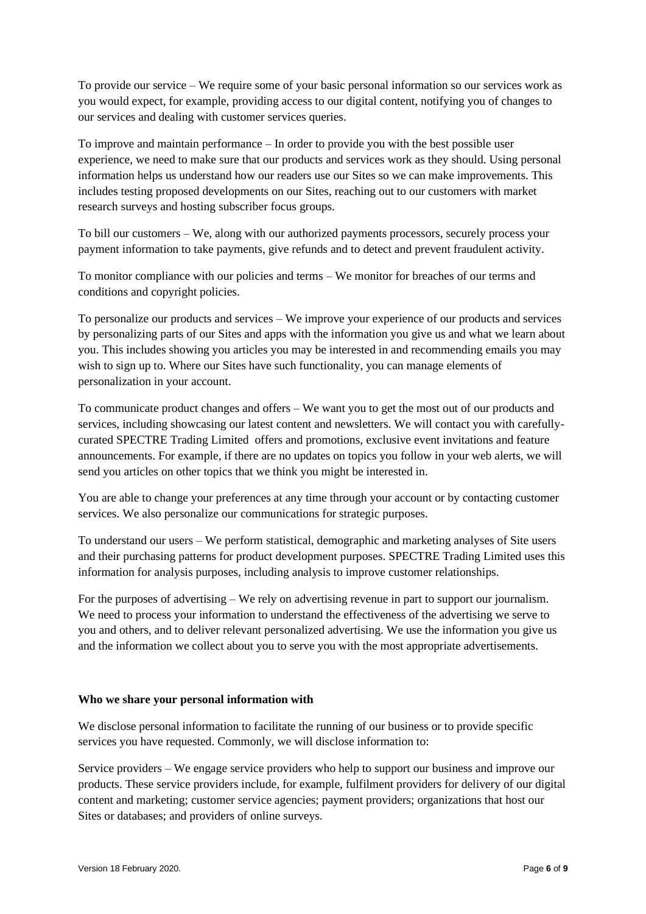To provide our service – We require some of your basic personal information so our services work as you would expect, for example, providing access to our digital content, notifying you of changes to our services and dealing with customer services queries.

To improve and maintain performance – In order to provide you with the best possible user experience, we need to make sure that our products and services work as they should. Using personal information helps us understand how our readers use our Sites so we can make improvements. This includes testing proposed developments on our Sites, reaching out to our customers with market research surveys and hosting subscriber focus groups.

To bill our customers – We, along with our authorized payments processors, securely process your payment information to take payments, give refunds and to detect and prevent fraudulent activity.

To monitor compliance with our policies and terms – We monitor for breaches of our terms and conditions and copyright policies.

To personalize our products and services – We improve your experience of our products and services by personalizing parts of our Sites and apps with the information you give us and what we learn about you. This includes showing you articles you may be interested in and recommending emails you may wish to sign up to. Where our Sites have such functionality, you can manage elements of personalization in your account.

To communicate product changes and offers – We want you to get the most out of our products and services, including showcasing our latest content and newsletters. We will contact you with carefullycurated SPECTRE Trading Limited offers and promotions, exclusive event invitations and feature announcements. For example, if there are no updates on topics you follow in your web alerts, we will send you articles on other topics that we think you might be interested in.

You are able to change your preferences at any time through your account or by contacting customer services. We also personalize our communications for strategic purposes.

To understand our users – We perform statistical, demographic and marketing analyses of Site users and their purchasing patterns for product development purposes. SPECTRE Trading Limited uses this information for analysis purposes, including analysis to improve customer relationships.

For the purposes of advertising – We rely on advertising revenue in part to support our journalism. We need to process your information to understand the effectiveness of the advertising we serve to you and others, and to deliver relevant personalized advertising. We use the information you give us and the information we collect about you to serve you with the most appropriate advertisements.

## **Who we share your personal information with**

We disclose personal information to facilitate the running of our business or to provide specific services you have requested. Commonly, we will disclose information to:

Service providers – We engage service providers who help to support our business and improve our products. These service providers include, for example, fulfilment providers for delivery of our digital content and marketing; customer service agencies; payment providers; organizations that host our Sites or databases; and providers of online surveys.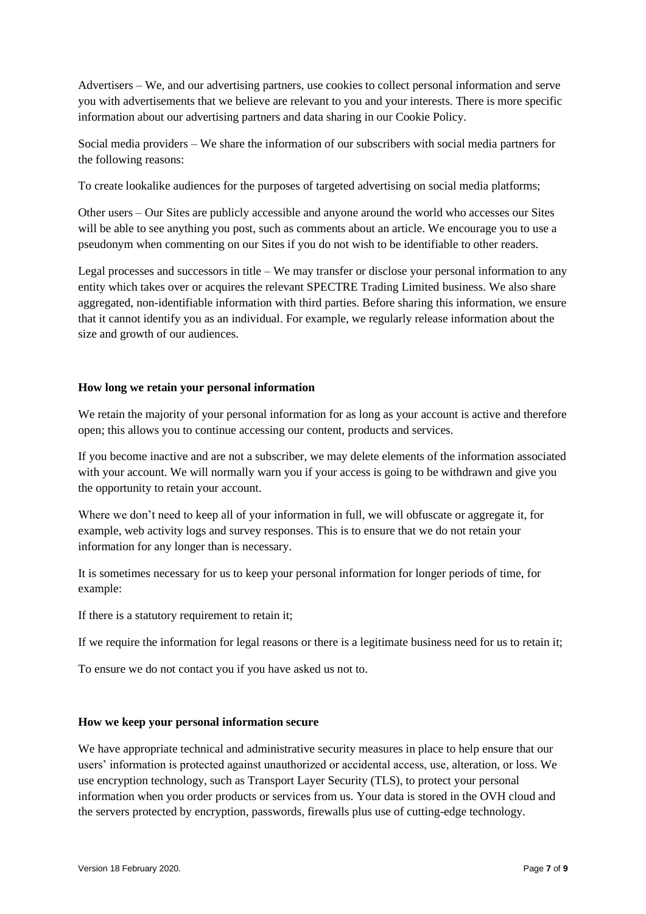Advertisers – We, and our advertising partners, use cookies to collect personal information and serve you with advertisements that we believe are relevant to you and your interests. There is more specific information about our advertising partners and data sharing in our Cookie Policy.

Social media providers – We share the information of our subscribers with social media partners for the following reasons:

To create lookalike audiences for the purposes of targeted advertising on social media platforms;

Other users – Our Sites are publicly accessible and anyone around the world who accesses our Sites will be able to see anything you post, such as comments about an article. We encourage you to use a pseudonym when commenting on our Sites if you do not wish to be identifiable to other readers.

Legal processes and successors in title – We may transfer or disclose your personal information to any entity which takes over or acquires the relevant SPECTRE Trading Limited business. We also share aggregated, non-identifiable information with third parties. Before sharing this information, we ensure that it cannot identify you as an individual. For example, we regularly release information about the size and growth of our audiences.

# **How long we retain your personal information**

We retain the majority of your personal information for as long as your account is active and therefore open; this allows you to continue accessing our content, products and services.

If you become inactive and are not a subscriber, we may delete elements of the information associated with your account. We will normally warn you if your access is going to be withdrawn and give you the opportunity to retain your account.

Where we don't need to keep all of your information in full, we will obfuscate or aggregate it, for example, web activity logs and survey responses. This is to ensure that we do not retain your information for any longer than is necessary.

It is sometimes necessary for us to keep your personal information for longer periods of time, for example:

If there is a statutory requirement to retain it;

If we require the information for legal reasons or there is a legitimate business need for us to retain it;

To ensure we do not contact you if you have asked us not to.

## **How we keep your personal information secure**

We have appropriate technical and administrative security measures in place to help ensure that our users' information is protected against unauthorized or accidental access, use, alteration, or loss. We use encryption technology, such as Transport Layer Security (TLS), to protect your personal information when you order products or services from us. Your data is stored in the OVH cloud and the servers protected by encryption, passwords, firewalls plus use of cutting-edge technology.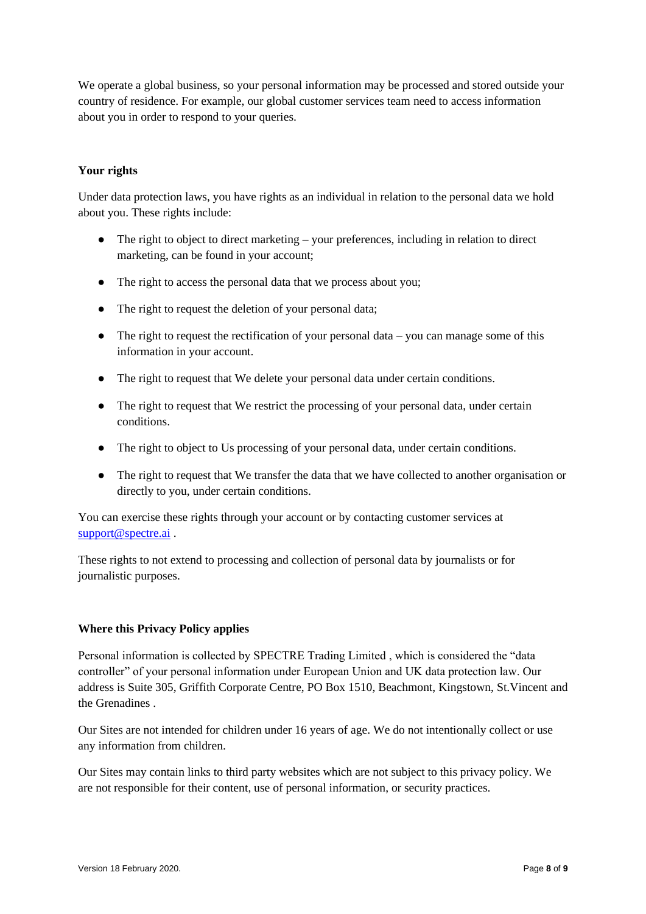We operate a global business, so your personal information may be processed and stored outside your country of residence. For example, our global customer services team need to access information about you in order to respond to your queries.

# **Your rights**

Under data protection laws, you have rights as an individual in relation to the personal data we hold about you. These rights include:

- $\bullet$  The right to object to direct marketing your preferences, including in relation to direct marketing, can be found in your account;
- The right to access the personal data that we process about you;
- The right to request the deletion of your personal data;
- $\bullet$  The right to request the rectification of your personal data you can manage some of this information in your account.
- The right to request that We delete your personal data under certain conditions.
- The right to request that We restrict the processing of your personal data, under certain conditions.
- The right to object to Us processing of your personal data, under certain conditions.
- The right to request that We transfer the data that we have collected to another organisation or directly to you, under certain conditions.

You can exercise these rights through your account or by contacting customer services at [support@spectre.ai](mailto:support@spectre.ai) .

These rights to not extend to processing and collection of personal data by journalists or for journalistic purposes.

## **Where this Privacy Policy applies**

Personal information is collected by SPECTRE Trading Limited , which is considered the "data controller" of your personal information under European Union and UK data protection law. Our address is Suite 305, Griffith Corporate Centre, PO Box 1510, Beachmont, Kingstown, St.Vincent and the Grenadines .

Our Sites are not intended for children under 16 years of age. We do not intentionally collect or use any information from children.

Our Sites may contain links to third party websites which are not subject to this privacy policy. We are not responsible for their content, use of personal information, or security practices.